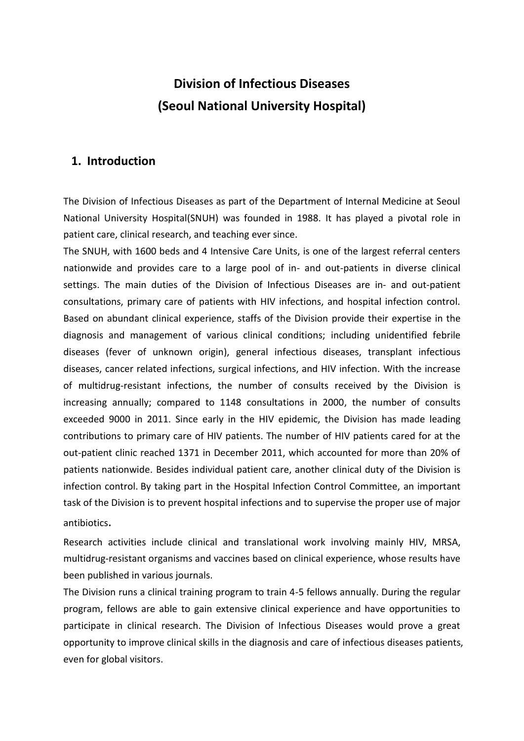# **Division of Infectious Diseases (Seoul National University Hospital)**

#### **1. Introduction**

The Division of Infectious Diseases as part of the Department of Internal Medicine at Seoul National University Hospital(SNUH) was founded in 1988. It has played a pivotal role in patient care, clinical research, and teaching ever since.

The SNUH, with 1600 beds and 4 Intensive Care Units, is one of the largest referral centers nationwide and provides care to a large pool of in- and out-patients in diverse clinical settings. The main duties of the Division of Infectious Diseases are in- and out-patient consultations, primary care of patients with HIV infections, and hospital infection control. Based on abundant clinical experience, staffs of the Division provide their expertise in the diagnosis and management of various clinical conditions; including unidentified febrile diseases (fever of unknown origin), general infectious diseases, transplant infectious diseases, cancer related infections, surgical infections, and HIV infection. With the increase of multidrug-resistant infections, the number of consults received by the Division is increasing annually; compared to 1148 consultations in 2000, the number of consults exceeded 9000 in 2011. Since early in the HIV epidemic, the Division has made leading contributions to primary care of HIV patients. The number of HIV patients cared for at the out-patient clinic reached 1371 in December 2011, which accounted for more than 20% of patients nationwide. Besides individual patient care, another clinical duty of the Division is infection control. By taking part in the Hospital Infection Control Committee, an important task of the Division is to prevent hospital infections and to supervise the proper use of major antibiotics.

Research activities include clinical and translational work involving mainly HIV, MRSA, multidrug-resistant organisms and vaccines based on clinical experience, whose results have been published in various journals.

The Division runs a clinical training program to train 4-5 fellows annually. During the regular program, fellows are able to gain extensive clinical experience and have opportunities to participate in clinical research. The Division of Infectious Diseases would prove a great opportunity to improve clinical skills in the diagnosis and care of infectious diseases patients, even for global visitors.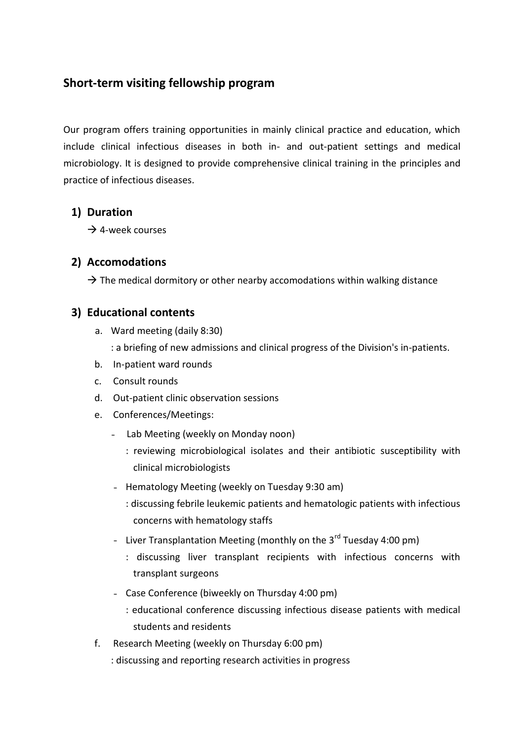# **Short-term visiting fellowship program**

Our program offers training opportunities in mainly clinical practice and education, which include clinical infectious diseases in both in- and out-patient settings and medical microbiology. It is designed to provide comprehensive clinical training in the principles and practice of infectious diseases.

### **1) Duration**

 $\rightarrow$  4-week courses

#### **2) Accomodations**

 $\rightarrow$  The medical dormitory or other nearby accomodations within walking distance

#### **3) Educational contents**

- a. Ward meeting (daily 8:30)
	- : a briefing of new admissions and clinical progress of the Division's in-patients.
- b. In-patient ward rounds
- c. Consult rounds
- d. Out-patient clinic observation sessions
- e. Conferences/Meetings:
	- Lab Meeting (weekly on Monday noon)
		- : reviewing microbiological isolates and their antibiotic susceptibility with clinical microbiologists
	- Hematology Meeting (weekly on Tuesday 9:30 am)
		- : discussing febrile leukemic patients and hematologic patients with infectious concerns with hematology staffs
	- Liver Transplantation Meeting (monthly on the  $3^{rd}$  Tuesday 4:00 pm)
		- : discussing liver transplant recipients with infectious concerns with transplant surgeons
	- Case Conference (biweekly on Thursday 4:00 pm)
		- : educational conference discussing infectious disease patients with medical students and residents
- f. Research Meeting (weekly on Thursday 6:00 pm)
	- : discussing and reporting research activities in progress